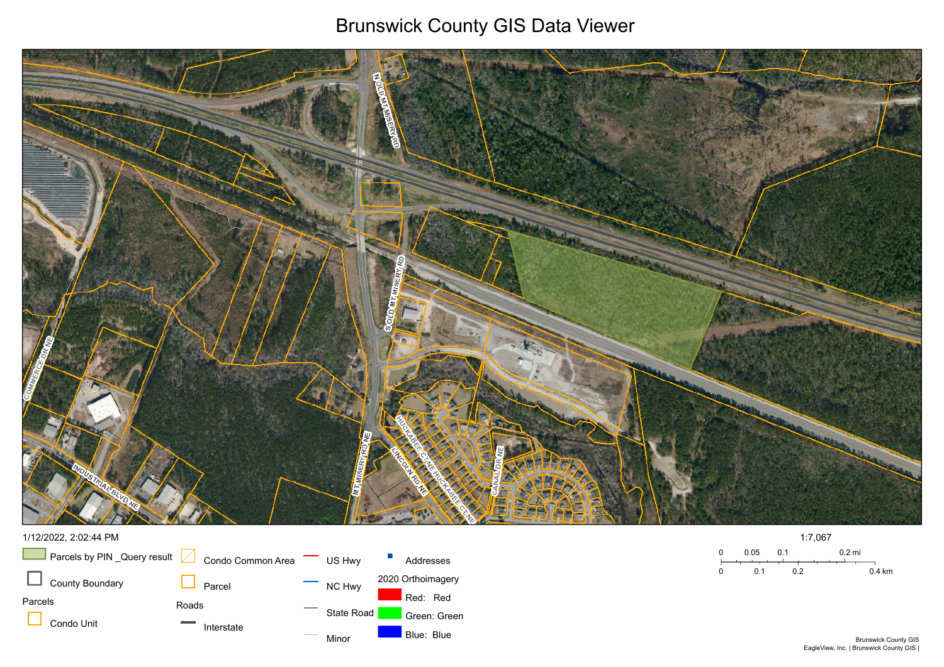## Brunswick County GIS Data Viewer





## 1/12/2022, 2:02:44 PM

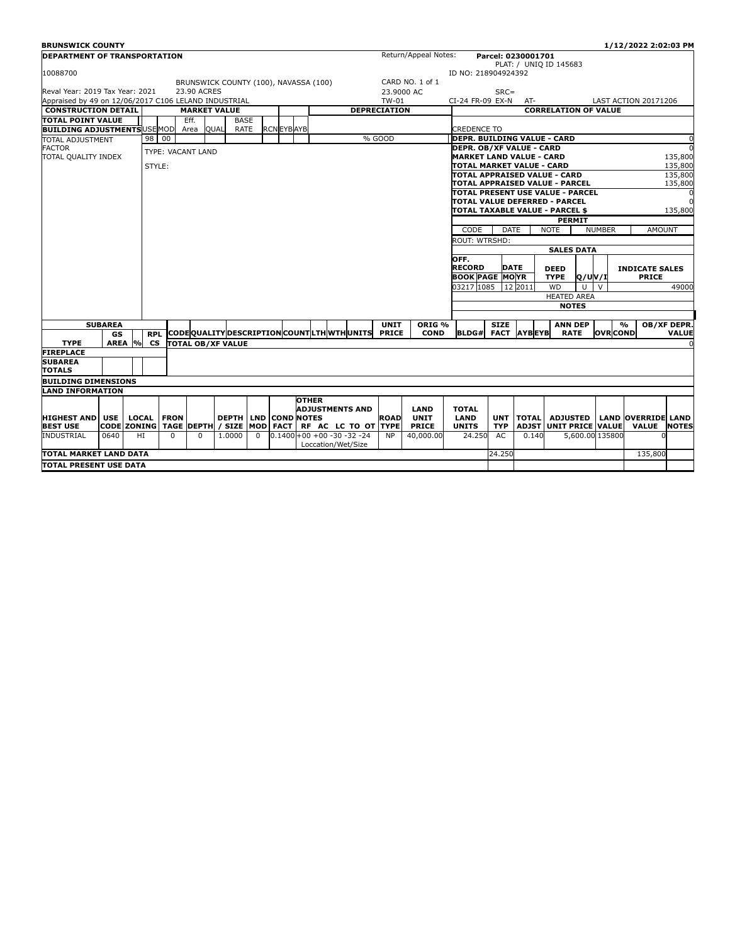| <b>BRUNSWICK COUNTY</b>                              |                |     |            |                   |                     |                                              |             |                   |              |                    |                                   |                     |                      |                                                              |             |                    |                                  |                 | 1/12/2022 2:02:03 PM        |                    |
|------------------------------------------------------|----------------|-----|------------|-------------------|---------------------|----------------------------------------------|-------------|-------------------|--------------|--------------------|-----------------------------------|---------------------|----------------------|--------------------------------------------------------------|-------------|--------------------|----------------------------------|-----------------|-----------------------------|--------------------|
| <b>DEPARTMENT OF TRANSPORTATION</b>                  |                |     |            |                   |                     |                                              |             |                   |              |                    |                                   |                     | Return/Appeal Notes: |                                                              |             | Parcel: 0230001701 |                                  |                 |                             |                    |
|                                                      |                |     |            |                   |                     |                                              |             |                   |              |                    |                                   |                     |                      |                                                              |             |                    | PLAT: / UNIO ID 145683           |                 |                             |                    |
| 10088700                                             |                |     |            |                   |                     |                                              |             |                   |              |                    |                                   |                     |                      | ID NO: 218904924392                                          |             |                    |                                  |                 |                             |                    |
|                                                      |                |     |            |                   |                     | BRUNSWICK COUNTY (100), NAVASSA (100)        |             |                   |              |                    |                                   |                     | CARD NO. 1 of 1      |                                                              |             |                    |                                  |                 |                             |                    |
| Reval Year: 2019 Tax Year: 2021                      |                |     |            |                   | 23.90 ACRES         |                                              |             |                   |              |                    |                                   |                     | 23,9000 AC           |                                                              | $SRC =$     |                    |                                  |                 |                             |                    |
| Appraised by 49 on 12/06/2017 C106 LELAND INDUSTRIAL |                |     |            |                   |                     |                                              |             |                   |              |                    |                                   | TW-01               |                      | CI-24 FR-09 EX-N                                             |             | AT-                |                                  |                 | <b>LAST ACTION 20171206</b> |                    |
| <b>CONSTRUCTION DETAIL</b>                           |                |     |            |                   | <b>MARKET VALUE</b> |                                              |             |                   |              |                    |                                   | <b>DEPRECIATION</b> |                      |                                                              |             |                    | <b>CORRELATION OF VALUE</b>      |                 |                             |                    |
| TOTAL POINT VALUE                                    |                |     |            |                   | Eff.                |                                              | <b>BASE</b> |                   |              |                    |                                   |                     |                      |                                                              |             |                    |                                  |                 |                             |                    |
| <b>BUILDING ADJUSTMENTS USE MOD</b>                  |                |     |            |                   | Area                | <b>QUAL</b>                                  | RATE        | <b>RCN EYBAYB</b> |              |                    |                                   |                     |                      | CREDENCE TO                                                  |             |                    |                                  |                 |                             |                    |
| <b>TOTAL ADJUSTMENT</b>                              |                |     | 98 00      |                   |                     |                                              |             |                   |              |                    |                                   | % GOOD              |                      | <b>DEPR. BUILDING VALUE - CARD</b>                           |             |                    |                                  |                 |                             | $\sqrt{ }$         |
| <b>FACTOR</b>                                        |                |     |            |                   | TYPE: VACANT LAND   |                                              |             |                   |              |                    |                                   |                     |                      | <b>DEPR. OB/XF VALUE - CARD</b>                              |             |                    |                                  |                 |                             | $\Omega$           |
| TOTAL QUALITY INDEX                                  |                |     |            |                   |                     |                                              |             |                   |              |                    |                                   |                     |                      | <b>MARKET LAND VALUE - CARD</b><br>TOTAL MARKET VALUE - CARD |             |                    |                                  |                 |                             | 135,800<br>135,800 |
|                                                      |                |     | STYLE:     |                   |                     |                                              |             |                   |              |                    |                                   |                     |                      |                                                              |             |                    | TOTAL APPRAISED VALUE - CARD     |                 |                             | 135,800            |
|                                                      |                |     |            |                   |                     |                                              |             |                   |              |                    |                                   |                     |                      |                                                              |             |                    | TOTAL APPRAISED VALUE - PARCEL   |                 |                             | 135,800            |
|                                                      |                |     |            |                   |                     |                                              |             |                   |              |                    |                                   |                     |                      |                                                              |             |                    | TOTAL PRESENT USE VALUE - PARCEL |                 |                             | $\Omega$           |
|                                                      |                |     |            |                   |                     |                                              |             |                   |              |                    |                                   |                     |                      |                                                              |             |                    | TOTAL VALUE DEFERRED - PARCEL    |                 |                             |                    |
|                                                      |                |     |            |                   |                     |                                              |             |                   |              |                    |                                   |                     |                      |                                                              |             |                    | TOTAL TAXABLE VALUE - PARCEL \$  |                 |                             | 135,800            |
|                                                      |                |     |            |                   |                     |                                              |             |                   |              |                    |                                   |                     |                      |                                                              |             |                    | <b>PERMIT</b>                    |                 |                             |                    |
|                                                      |                |     |            |                   |                     |                                              |             |                   |              |                    |                                   |                     |                      | CODE                                                         | <b>DATE</b> |                    | <b>NOTE</b>                      | <b>NUMBER</b>   | <b>AMOUNT</b>               |                    |
|                                                      |                |     |            |                   |                     |                                              |             |                   |              |                    |                                   |                     |                      | ROUT: WTRSHD:                                                |             |                    |                                  |                 |                             |                    |
|                                                      |                |     |            |                   |                     |                                              |             |                   |              |                    |                                   |                     |                      |                                                              |             |                    | <b>SALES DATA</b>                |                 |                             |                    |
|                                                      |                |     |            |                   |                     |                                              |             |                   |              |                    |                                   |                     |                      | OFF.                                                         |             |                    |                                  |                 |                             |                    |
|                                                      |                |     |            |                   |                     |                                              |             |                   |              |                    |                                   |                     |                      | <b>RECORD</b>                                                | <b>DATE</b> |                    | <b>DEED</b>                      |                 | <b>INDICATE SALES</b>       |                    |
|                                                      |                |     |            |                   |                     |                                              |             |                   |              |                    |                                   |                     |                      | <b>BOOK PAGE MOYR</b>                                        |             |                    | <b>TYPE</b><br>Q/UV/I            |                 | <b>PRICE</b>                |                    |
|                                                      |                |     |            |                   |                     |                                              |             |                   |              |                    |                                   |                     |                      | 03217 1085                                                   |             | 12 2011            | U<br><b>WD</b>                   | $\vee$          |                             | 49000              |
|                                                      |                |     |            |                   |                     |                                              |             |                   |              |                    |                                   |                     |                      |                                                              |             |                    | <b>HEATED AREA</b>               |                 |                             |                    |
|                                                      |                |     |            |                   |                     |                                              |             |                   |              |                    |                                   |                     |                      |                                                              |             |                    | <b>NOTES</b>                     |                 |                             |                    |
|                                                      |                |     |            |                   |                     |                                              |             |                   |              |                    |                                   |                     |                      |                                                              |             |                    |                                  |                 |                             |                    |
|                                                      | <b>SUBAREA</b> |     |            |                   |                     |                                              |             |                   |              |                    |                                   | <b>UNIT</b>         | ORIG <sub>%</sub>    |                                                              | <b>SIZE</b> |                    | <b>ANN DEP</b>                   |                 | $\mathbf{O}/\mathbf{O}$     | OB/XF DEPR.        |
|                                                      | GS             |     | <b>RPL</b> |                   |                     | CODEQUALITY DESCRIPTION COUNTLITH WITH UNITS |             |                   |              |                    |                                   | <b>PRICE</b>        | <b>COND</b>          | <b>BLDG#</b>                                                 | <b>FACT</b> | <b>AYBEYB</b>      | <b>RATE</b>                      | <b>OVR</b> COND |                             | <b>VALUE</b>       |
| <b>TYPE</b>                                          | <b>AREA</b>    | 9/6 | <b>CS</b>  |                   |                     | <b>TOTAL OB/XF VALUE</b>                     |             |                   |              |                    |                                   |                     |                      |                                                              |             |                    |                                  |                 |                             |                    |
| <b>FIREPLACE</b>                                     |                |     |            |                   |                     |                                              |             |                   |              |                    |                                   |                     |                      |                                                              |             |                    |                                  |                 |                             |                    |
| <b>SUBAREA</b>                                       |                |     |            |                   |                     |                                              |             |                   |              |                    |                                   |                     |                      |                                                              |             |                    |                                  |                 |                             |                    |
| <b>TOTALS</b>                                        |                |     |            |                   |                     |                                              |             |                   |              |                    |                                   |                     |                      |                                                              |             |                    |                                  |                 |                             |                    |
| <b>BUILDING DIMENSIONS</b>                           |                |     |            |                   |                     |                                              |             |                   |              |                    |                                   |                     |                      |                                                              |             |                    |                                  |                 |                             |                    |
| <b>LAND INFORMATION</b>                              |                |     |            |                   |                     |                                              |             |                   |              |                    |                                   |                     |                      |                                                              |             |                    |                                  |                 |                             |                    |
|                                                      |                |     |            |                   |                     |                                              |             |                   | <b>OTHER</b> |                    |                                   |                     |                      |                                                              |             |                    |                                  |                 |                             |                    |
|                                                      |                |     |            |                   |                     |                                              |             |                   |              |                    | <b>ADJUSTMENTS AND</b>            |                     | <b>LAND</b>          | <b>TOTAL</b>                                                 |             |                    |                                  |                 |                             |                    |
| <b>HIGHEST AND</b>                                   | <b>USE</b>     |     |            | <b>LOCAL FRON</b> |                     | <b>DEPTH LND</b>                             |             | <b>COND NOTES</b> |              |                    |                                   | <b>ROAD</b>         | <b>UNIT</b>          | LAND                                                         |             | UNT TOTAL          | <b>ADJUSTED</b>                  |                 | <b>LAND OVERRIDE LAND</b>   |                    |
| <b>BEST USE</b>                                      |                |     |            |                   |                     | CODE ZONING TAGE DEPTH / SIZE MOD FACT       |             |                   |              |                    | RF AC LC TO OT TYPE               |                     | <b>PRICE</b>         | <b>UNITS</b>                                                 | <b>TYP</b>  | <b>ADJST</b>       | UNIT PRICE VALUE                 |                 | <b>VALUE</b>                | <b>NOTES</b>       |
| <b>INDUSTRIAL</b>                                    | 0640           |     | HI         | $\Omega$          | $\Omega$            | 1.0000                                       | $\Omega$    |                   |              |                    | $0.1400 + 00 + 00 - 30 - 32 - 24$ | <b>NP</b>           | 40,000.00            | 24.250                                                       | AC          | 0.140              |                                  | 5,600.00 135800 |                             |                    |
|                                                      |                |     |            |                   |                     |                                              |             |                   |              | Loccation/Wet/Size |                                   |                     |                      |                                                              |             |                    |                                  |                 |                             |                    |
| TOTAL MARKET LAND DATA                               |                |     |            |                   |                     |                                              |             |                   |              |                    |                                   |                     |                      |                                                              | 24.250      |                    |                                  |                 | 135,800                     |                    |
| TOTAL PRESENT USE DATA                               |                |     |            |                   |                     |                                              |             |                   |              |                    |                                   |                     |                      |                                                              |             |                    |                                  |                 |                             |                    |